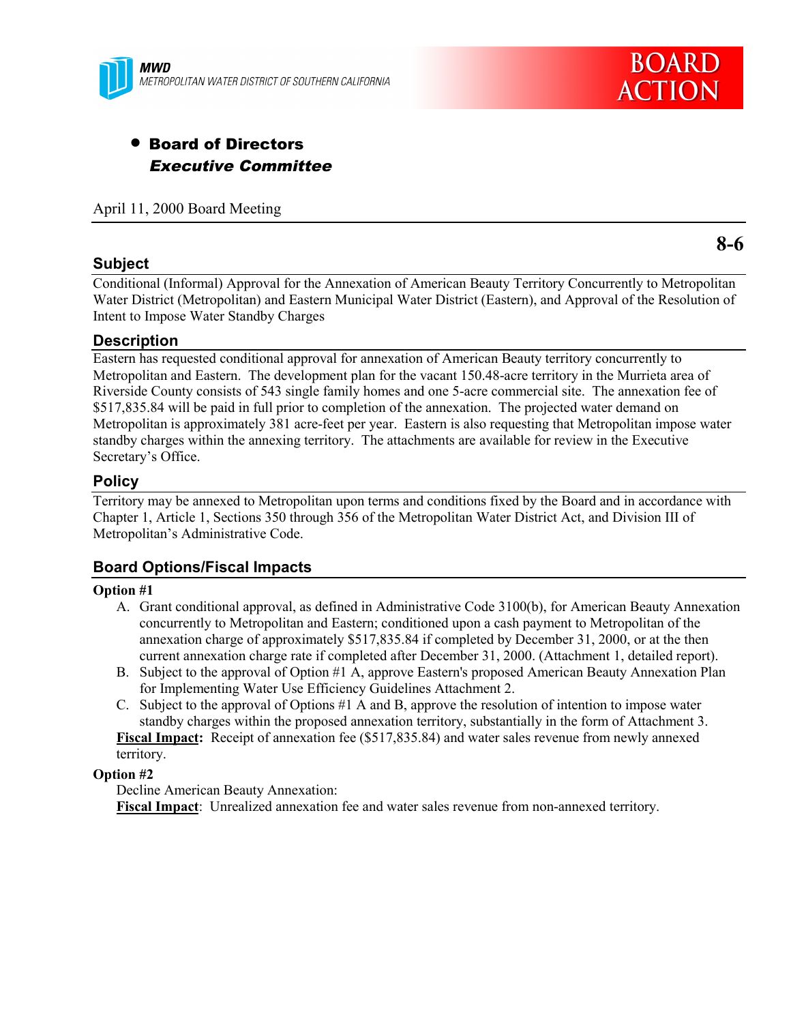

# • Board of Directors Executive Committee

April 11, 2000 Board Meeting

### **Subject**

**8-6**

Conditional (Informal) Approval for the Annexation of American Beauty Territory Concurrently to Metropolitan Water District (Metropolitan) and Eastern Municipal Water District (Eastern), and Approval of the Resolution of Intent to Impose Water Standby Charges

#### **Description**

Eastern has requested conditional approval for annexation of American Beauty territory concurrently to Metropolitan and Eastern. The development plan for the vacant 150.48-acre territory in the Murrieta area of Riverside County consists of 543 single family homes and one 5-acre commercial site. The annexation fee of \$517,835.84 will be paid in full prior to completion of the annexation. The projected water demand on Metropolitan is approximately 381 acre-feet per year. Eastern is also requesting that Metropolitan impose water standby charges within the annexing territory. The attachments are available for review in the Executive Secretary's Office.

## **Policy**

Territory may be annexed to Metropolitan upon terms and conditions fixed by the Board and in accordance with Chapter 1, Article 1, Sections 350 through 356 of the Metropolitan Water District Act, and Division III of Metropolitan's Administrative Code.

## **Board Options/Fiscal Impacts**

#### **Option #1**

- A. Grant conditional approval, as defined in Administrative Code 3100(b), for American Beauty Annexation concurrently to Metropolitan and Eastern; conditioned upon a cash payment to Metropolitan of the annexation charge of approximately \$517,835.84 if completed by December 31, 2000, or at the then current annexation charge rate if completed after December 31, 2000. (Attachment 1, detailed report).
- B. Subject to the approval of Option #1 A, approve Eastern's proposed American Beauty Annexation Plan for Implementing Water Use Efficiency Guidelines Attachment 2.
- C. Subject to the approval of Options #1 A and B, approve the resolution of intention to impose water standby charges within the proposed annexation territory, substantially in the form of Attachment 3. **Fiscal Impact:** Receipt of annexation fee (\$517,835.84) and water sales revenue from newly annexed

territory.

#### **Option #2**

Decline American Beauty Annexation:

**Fiscal Impact**: Unrealized annexation fee and water sales revenue from non-annexed territory.